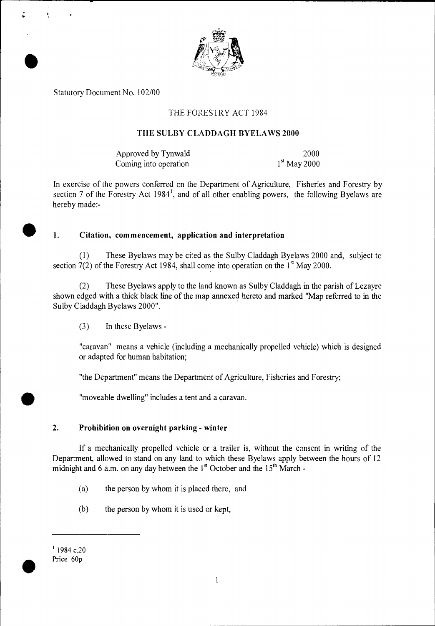

Statutory Document No. 102/00

•

ø

## THE FORESTRY ACT 1984

#### **THE** SULBY CLADDAGH BYELAWS 2000

Approved by Tynwald 2000 Coming into operation  $1<sup>st</sup>$  May 2000

In exercise of the powers conferred on the Department of Agriculture, Fisheries and Forestry by section 7 of the Forestry Act 1984<sup>1</sup>, and of all other enabling powers, the following Byelaws are hereby made:-

#### • **1. Citation, commencement, application and interpretation**

(1) These Byelaws may be cited as the Sulby Claddagh Byelaws 2000 and, subject to section  $7(2)$  of the Forestry Act 1984, shall come into operation on the  $1<sup>st</sup>$  May 2000.

(2) These Byelaws apply to the land known as Sulby Claddagh in the parish of Lezayre shown edged with a thick black line of the map annexed hereto and marked "Map referred to in the Sulby Claddagh Byelaws 2000".

(3) In these Byelaws -

"caravan" means a vehicle (including a mechanically propelled vehicle) which is designed or adapted for human habitation;

"the Department" means the Department of Agriculture, Fisheries and Forestry;

"moveable dwelling" includes a tent and a caravan.

## **2. Prohibition on overnight parking - winter**

If a mechanically propelled vehicle or a trailer is, without the consent in writing of the Department, allowed to stand on any land to which these Byelaws apply between the hours of 12 midnight and 6 a.m. on any day between the  $1<sup>st</sup>$  October and the  $15<sup>th</sup>$  March -

- (a) the person by whom it is placed there, and
- (b) the person by whom it is used or kept,

 $^{1}$  1984 c.20<br>Price 60p

•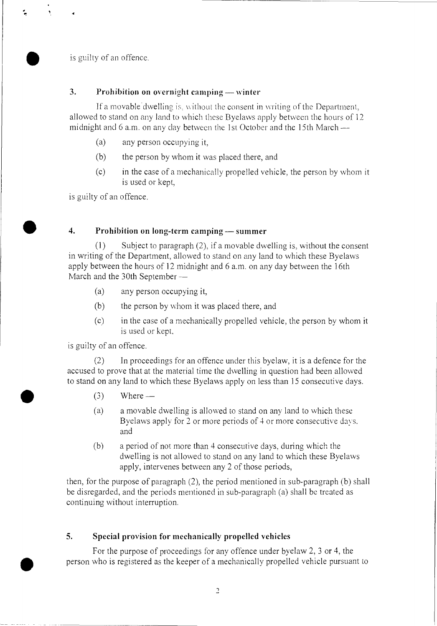is guilty of an offence.

## 3. Prohibition on overnight camping — winter

If a movable dwelling is, without the consent in writing of the Department, allowed to stand on any land to which these Byelaws apply between the hours of 12 midnight and 6 a.m. on any day between the 1st October and the 15th March —

- (a) any person occupying it,
- (b) the person by whom it was placed there, and
- (c) in the case of a mechanically propelled vehicle, the person by whom it is used or kept,

is guilty of an offence.

#### 4. Prohibition on long-term camping — summer

(1) Subject to paragraph (2), if a movable dwelling is, without the consent in writing of the Department, allowed to stand on any land to which these Byelaws apply between the hours of 12 midnight and 6 a.m. on any day between the 16th March and the 30th September --

- (a) any person occupying it,
- (b) the person by whom it was placed there, and
- (c) in the case of a mechanically propelled vehicle, the person by whom it is used or kept.

is guilty of an offence.

(2) In proceedings for an offence under this byelaw, it is a defence for the accused to prove that at the material time the dwelling in question had been allowed to stand on any land to which these Byelaws apply on less than 15 consecutive days.<br>
(3) Where —<br>
(3) a move be dwelling is allowed to stand on any land to which these

- 
- (a) a movable dwelling is allowed to stand on any land to which these Byelaws apply for 2 or more periods of 4 or more consecutive days. and
- (b) a period of not more than 4 consecutive days, during which the dwelling is not allowed to stand on any land to which these Byelaws apply, intervenes between any 2 of those periods,

then, for the purpose of paragraph (2), the period mentioned in sub-paragraph (b) shall be disregarded, and the periods mentioned in sub-paragraph (a) shall be treated as continuing without interruption.

## 5. Special provision for mechanically propelled vehicles

For the purpose of proceedings for any offence under byelaw 2, 3 or 4, the person who is registered as the keeper of a mechanically propelled vehicle pursuant to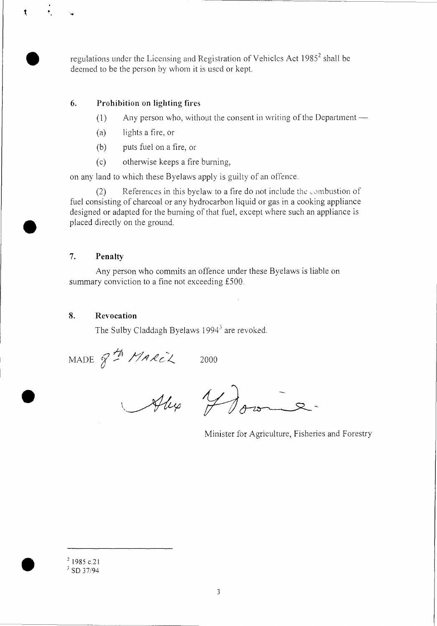regulations under the Licensing and Registration of Vehicles Act 1985<sup>2</sup> shall be deemed to be the person by whom it is used or kept.

## 6. Prohibition on lighting fires

- $(1)$  Any person who, without the consent in writing of the Department —
- (a) lights a fire, or
- (b) puts fuel on a fire, or
- (c) otherwise keeps a fire burning,

on any land to which these Byelaws apply is guilty of an offence.

 $(2)$  References in this byelaw to a fire do not include the combustion of fuel consisting of charcoal or any hydrocarbon liquid or gas in a cooking appliance designed or adapted for the burning of that fuel, except where such an appliance is placed directly on the ground.

# 7. Penalty

Any person who commits an offence under these Byelaws is liable on summary conviction to a fine not exceeding £500.

## 8. Revocation

•

 $\mathbf{r}$ 

The Sulby Claddagh Byelaws 1994<sup>3</sup> are revoked.

MADE  $Z^{\frac{11}{2}}$  MARCL 2000

Alex Med

Minister for Agriculture, Fisheries and Forestry

 $21985$  c.21  $3$  SD 37/94